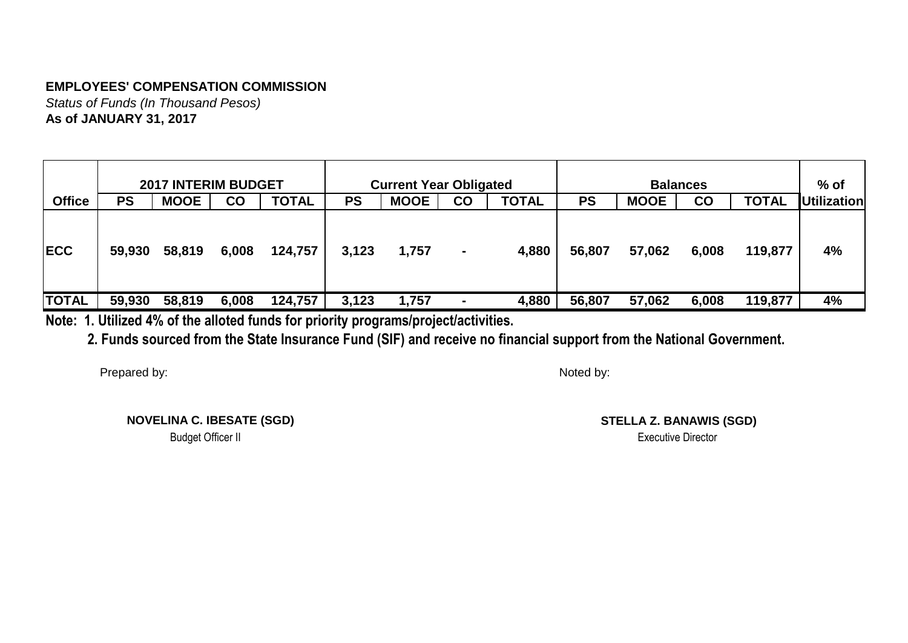*Status of Funds (In Thousand Pesos)* **As of JANUARY 31, 2017**

|               |           | <b>2017 INTERIM BUDGET</b> |               |              |           | <b>Current Year Obligated</b> |                |              |           |             | <b>Balances</b> |              | $%$ of             |
|---------------|-----------|----------------------------|---------------|--------------|-----------|-------------------------------|----------------|--------------|-----------|-------------|-----------------|--------------|--------------------|
| <b>Office</b> | <b>PS</b> | <b>MOOE</b>                | $\mathsf{co}$ | <b>TOTAL</b> | <b>PS</b> | <b>MOOE</b>                   | <b>CO</b>      | <b>TOTAL</b> | <b>PS</b> | <b>MOOE</b> | $\mathsf{CO}$   | <b>TOTAL</b> | <b>Utilization</b> |
| <b>IECC</b>   | 59,930    | 58,819                     | 6,008         | 124,757      | 3,123     | 1,757                         | $\blacksquare$ | 4,880        | 56,807    | 57,062      | 6,008           | 119,877      | 4%                 |
| <b>TOTAL</b>  | 59,930    | 58,819                     | 6,008         | 124,757      | 3,123     | 1,757                         | ٠              | 4,880        | 56,807    | 57,062      | 6,008           | 119,877      | 4%                 |

**Note: 1. Utilized 4% of the alloted funds for priority programs/project/activities.**

 **2. Funds sourced from the State Insurance Fund (SIF) and receive no financial support from the National Government.**

Prepared by:

Noted by:

**NOVELINA C. IBESATE (SGD)**

**STELLA Z. BANAWIS (SGD)** Budget Officer II Executive Director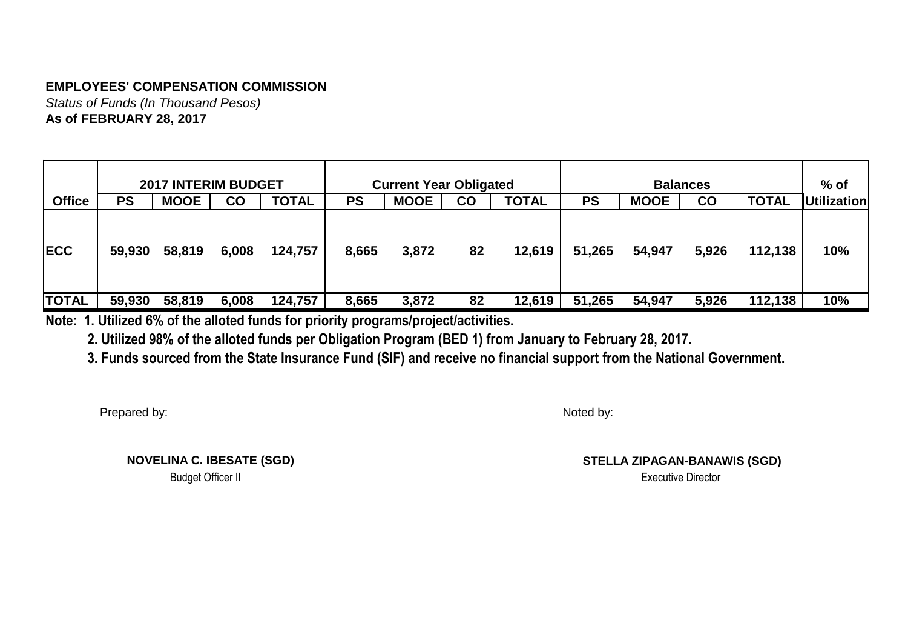*Status of Funds (In Thousand Pesos)* **As of FEBRUARY 28, 2017**

|               |           | <b>2017 INTERIM BUDGET</b> |           |              |           | <b>Current Year Obligated</b> |    |              |           |             | <b>Balances</b> |              | $%$ of             |
|---------------|-----------|----------------------------|-----------|--------------|-----------|-------------------------------|----|--------------|-----------|-------------|-----------------|--------------|--------------------|
| <b>Office</b> | <b>PS</b> | <b>MOOE</b>                | <b>CO</b> | <b>TOTAL</b> | <b>PS</b> | <b>MOOE</b>                   | CO | <b>TOTAL</b> | <b>PS</b> | <b>MOOE</b> | <b>CO</b>       | <b>TOTAL</b> | <b>Utilization</b> |
| <b>IECC</b>   | 59,930    | 58,819                     | 6,008     | 124,757      | 8,665     | 3,872                         | 82 | 12,619       | 51,265    | 54,947      | 5,926           | 112,138      | 10%                |
| <b>TOTAL</b>  | 59,930    | 58,819                     | 6,008     | 124,757      | 8,665     | 3,872                         | 82 | 12,619       | 51,265    | 54,947      | 5,926           | 112,138      | 10%                |

**Note: 1. Utilized 6% of the alloted funds for priority programs/project/activities.**

 **2. Utilized 98% of the alloted funds per Obligation Program (BED 1) from January to February 28, 2017.**

 **3. Funds sourced from the State Insurance Fund (SIF) and receive no financial support from the National Government.**

Prepared by:

Noted by:

**NOVELINA C. IBESATE (SGD)**

**STELLA ZIPAGAN-BANAWIS (SGD)** Budget Officer II Executive Director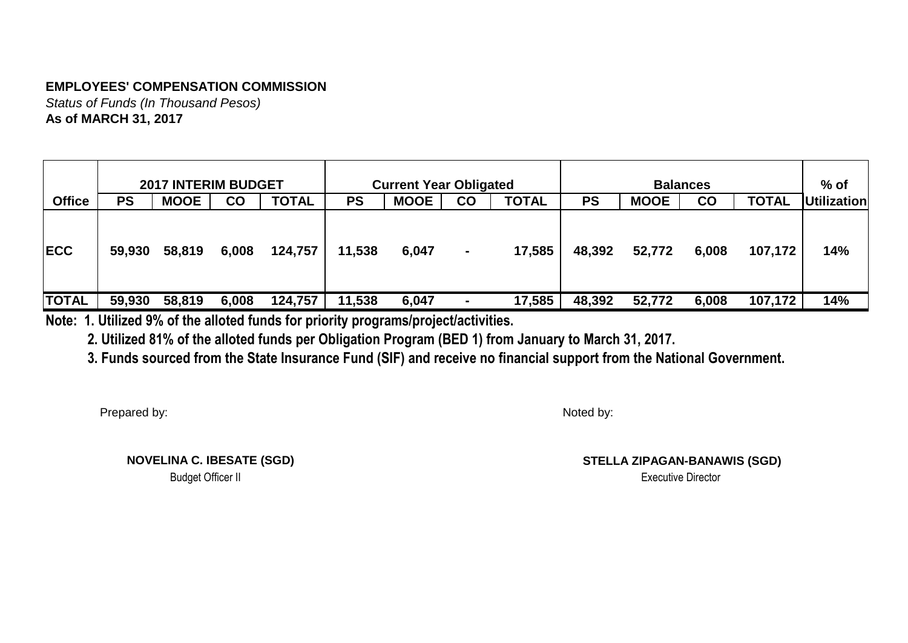*Status of Funds (In Thousand Pesos)* **As of MARCH 31, 2017**

|               |           | <b>2017 INTERIM BUDGET</b> |           |              |           | <b>Current Year Obligated</b> |                |              |           |             | <b>Balances</b> |              | $%$ of             |
|---------------|-----------|----------------------------|-----------|--------------|-----------|-------------------------------|----------------|--------------|-----------|-------------|-----------------|--------------|--------------------|
| <b>Office</b> | <b>PS</b> | <b>MOOE</b>                | <b>CO</b> | <b>TOTAL</b> | <b>PS</b> | <b>MOOE</b>                   | CO             | <b>TOTAL</b> | <b>PS</b> | <b>MOOE</b> | <b>CO</b>       | <b>TOTAL</b> | <b>Utilization</b> |
| <b>IECC</b>   | 59,930    | 58,819                     | 6,008     | 124,757      | 11,538    | 6,047                         | $\blacksquare$ | 17,585       | 48,392    | 52,772      | 6,008           | 107,172      | 14%                |
| <b>TOTAL</b>  | 59,930    | 58,819                     | 6,008     | 124,757      | 11,538    | 6,047                         | $\blacksquare$ | 17,585       | 48,392    | 52,772      | 6,008           | 107,172      | 14%                |

**Note: 1. Utilized 9% of the alloted funds for priority programs/project/activities.**

 **2. Utilized 81% of the alloted funds per Obligation Program (BED 1) from January to March 31, 2017.**

 **3. Funds sourced from the State Insurance Fund (SIF) and receive no financial support from the National Government.**

Prepared by:

Noted by:

**NOVELINA C. IBESATE (SGD)**

**STELLA ZIPAGAN-BANAWIS (SGD)** Budget Officer II Executive Director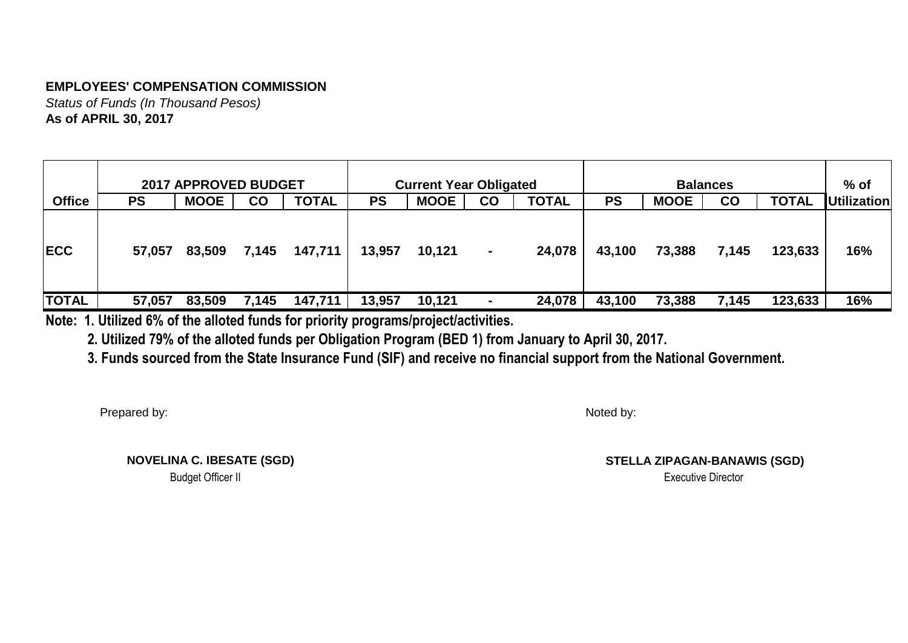*Status of Funds (In Thousand Pesos)* **As of APRIL 30, 2017**

|               |        | <b>2017 APPROVED BUDGET</b> |               |              |           | <b>Current Year Obligated</b> |                |              |           |             | <b>Balances</b>        |              | $%$ of             |
|---------------|--------|-----------------------------|---------------|--------------|-----------|-------------------------------|----------------|--------------|-----------|-------------|------------------------|--------------|--------------------|
| <b>Office</b> | PS     | <b>MOOE</b>                 | $\mathsf{co}$ | <b>TOTAL</b> | <b>PS</b> | <b>MOOE</b>                   | <b>CO</b>      | <b>TOTAL</b> | <b>PS</b> | <b>MOOE</b> | $\mathbf{C}\mathbf{O}$ | <b>TOTAL</b> | <b>Utilization</b> |
| <b>IECC</b>   | 57,057 | 83,509                      | 7,145         | 147,711      | 13,957    | 10,121                        | $\blacksquare$ | 24,078       | 43,100    | 73,388      | 7,145                  | 123,633      | 16%                |
| <b>TOTAL</b>  | 57,057 | 83,509                      | 7,145         | 147,711      | 13,957    | 10,121                        |                | 24,078       | 43,100    | 73,388      | 7,145                  | 123,633      | 16%                |

**Note: 1. Utilized 6% of the alloted funds for priority programs/project/activities.**

 **2. Utilized 79% of the alloted funds per Obligation Program (BED 1) from January to April 30, 2017.**

 **3. Funds sourced from the State Insurance Fund (SIF) and receive no financial support from the National Government.**

Prepared by:

Noted by:

 **NOVELINA C. IBESATE (SGD)** Budget Officer II Although the Contractor of the Contractor of the Contractor of the Contractor of the Contractor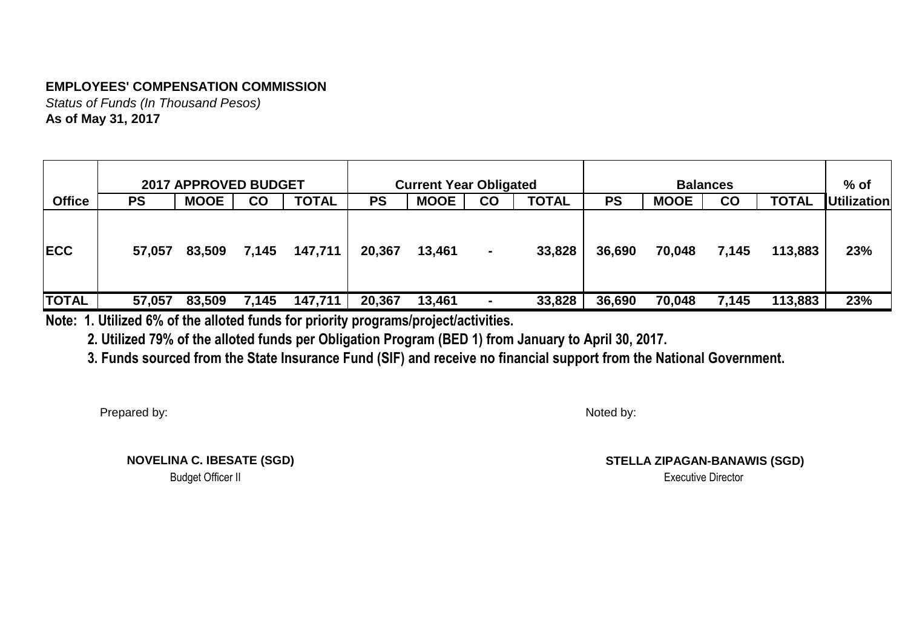*Status of Funds (In Thousand Pesos)* **As of May 31, 2017**

|               |           | <b>2017 APPROVED BUDGET</b> |               |              |                                                             | <b>Current Year Obligated</b> |                |        |        |             | <b>Balances</b> |              | $%$ of             |
|---------------|-----------|-----------------------------|---------------|--------------|-------------------------------------------------------------|-------------------------------|----------------|--------|--------|-------------|-----------------|--------------|--------------------|
| <b>Office</b> | <b>PS</b> | <b>MOOE</b>                 | $\mathsf{co}$ | <b>TOTAL</b> | <b>MOOE</b><br><b>TOTAL</b><br><b>PS</b><br><b>PS</b><br>CO |                               |                |        |        | <b>MOOE</b> | $\overline{c}$  | <b>TOTAL</b> | <b>Utilization</b> |
| <b>IECC</b>   | 57,057    | 83,509                      | 7,145         | 147,711      | 20,367                                                      | 13,461                        | $\blacksquare$ | 33,828 | 36,690 | 70,048      | 7,145           | 113,883      | 23%                |
| <b>TOTAL</b>  | 57,057    | 83,509                      | 7,145         | 147,711      | 20,367                                                      | 13,461                        | $\blacksquare$ | 33,828 | 36,690 | 70,048      | 7,145           | 113,883      | 23%                |

**Note: 1. Utilized 6% of the alloted funds for priority programs/project/activities.**

 **2. Utilized 79% of the alloted funds per Obligation Program (BED 1) from January to April 30, 2017.**

 **3. Funds sourced from the State Insurance Fund (SIF) and receive no financial support from the National Government.**

Prepared by:

Noted by:

 **NOVELINA C. IBESATE (SGD)** Budget Officer II Although the Contractor of the Contractor of the Contractor of the Contractor of the Contractor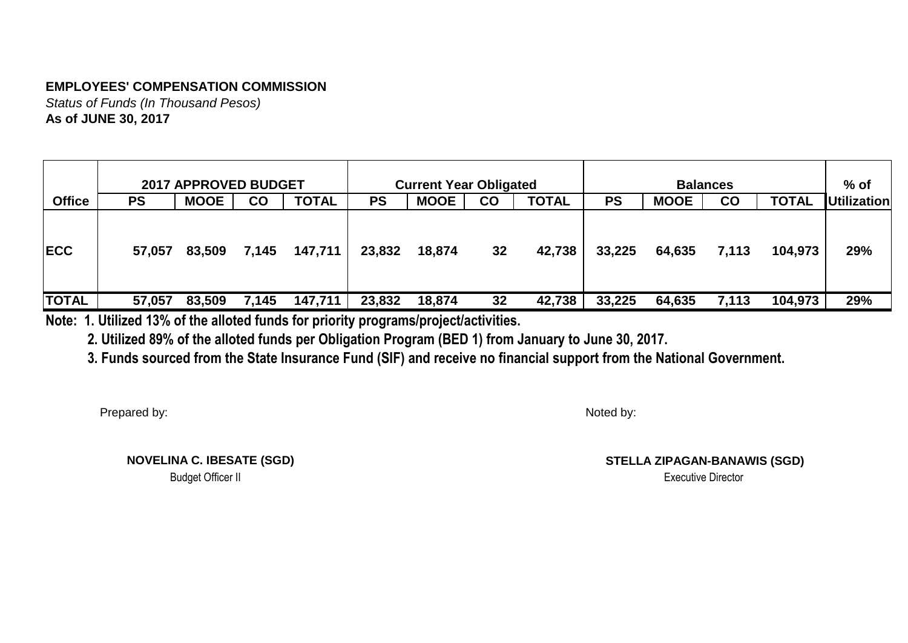*Status of Funds (In Thousand Pesos)* **As of JUNE 30, 2017**

|               |        | <b>2017 APPROVED BUDGET</b> |               |              |           | <b>Current Year Obligated</b> |    |              |           |             | <b>Balances</b> |              | $%$ of             |
|---------------|--------|-----------------------------|---------------|--------------|-----------|-------------------------------|----|--------------|-----------|-------------|-----------------|--------------|--------------------|
| <b>Office</b> | PS     | <b>MOOE</b>                 | $\mathsf{co}$ | <b>TOTAL</b> | <b>PS</b> | <b>MOOE</b>                   | CO | <b>TOTAL</b> | <b>PS</b> | <b>MOOE</b> | <b>CO</b>       | <b>TOTAL</b> | <b>Utilization</b> |
| <b>IECC</b>   | 57,057 | 83,509                      | 7,145         | 147,711      | 23,832    | 18,874                        | 32 | 42,738       | 33,225    | 64,635      | 7,113           | 104,973      | 29%                |
| <b>TOTAL</b>  | 57,057 | 83,509                      | 7,145         | 147,711      | 23,832    | 18,874                        | 32 | 42,738       | 33,225    | 64,635      | 7,113           | 104,973      | 29%                |

**Note: 1. Utilized 13% of the alloted funds for priority programs/project/activities.**

 **2. Utilized 89% of the alloted funds per Obligation Program (BED 1) from January to June 30, 2017.**

 **3. Funds sourced from the State Insurance Fund (SIF) and receive no financial support from the National Government.**

Prepared by:

Noted by:

 **NOVELINA C. IBESATE (SGD)** Budget Officer II Although the Contractor of the Contractor of the Contractor of the Contractor of the Contractor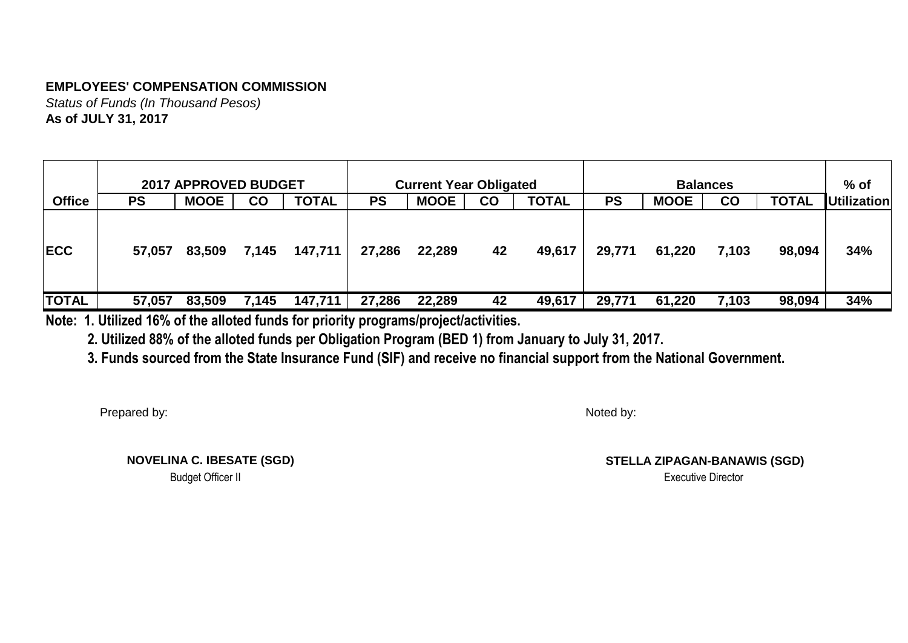*Status of Funds (In Thousand Pesos)* **As of JULY 31, 2017**

|               |           | <b>2017 APPROVED BUDGET</b> |               |              |           | <b>Current Year Obligated</b> |    |              |           |             | <b>Balances</b> |              | $%$ of             |
|---------------|-----------|-----------------------------|---------------|--------------|-----------|-------------------------------|----|--------------|-----------|-------------|-----------------|--------------|--------------------|
| <b>Office</b> | <b>PS</b> | <b>MOOE</b>                 | $\mathsf{co}$ | <b>TOTAL</b> | <b>PS</b> | <b>MOOE</b>                   | CO | <b>TOTAL</b> | <b>PS</b> | <b>MOOE</b> | $\overline{c}$  | <b>TOTAL</b> | <b>Utilization</b> |
| <b>IECC</b>   | 57,057    | 83,509                      | 7,145         | 147,711      | 27,286    | 22,289                        | 42 | 49,617       | 29,771    | 61,220      | 7,103           | 98,094       | 34%                |
| <b>TOTAL</b>  | 57,057    | 83,509                      | 7,145         | 147,711      | 27,286    | 22,289                        | 42 | 49,617       | 29,771    | 61,220      | 7,103           | 98,094       | 34%                |

**Note: 1. Utilized 16% of the alloted funds for priority programs/project/activities.**

 **2. Utilized 88% of the alloted funds per Obligation Program (BED 1) from January to July 31, 2017.**

 **3. Funds sourced from the State Insurance Fund (SIF) and receive no financial support from the National Government.**

Prepared by:

Noted by:

 **NOVELINA C. IBESATE (SGD)** Budget Officer II Although the Contractor of the Contractor of the Contractor of the Contractor of the Contractor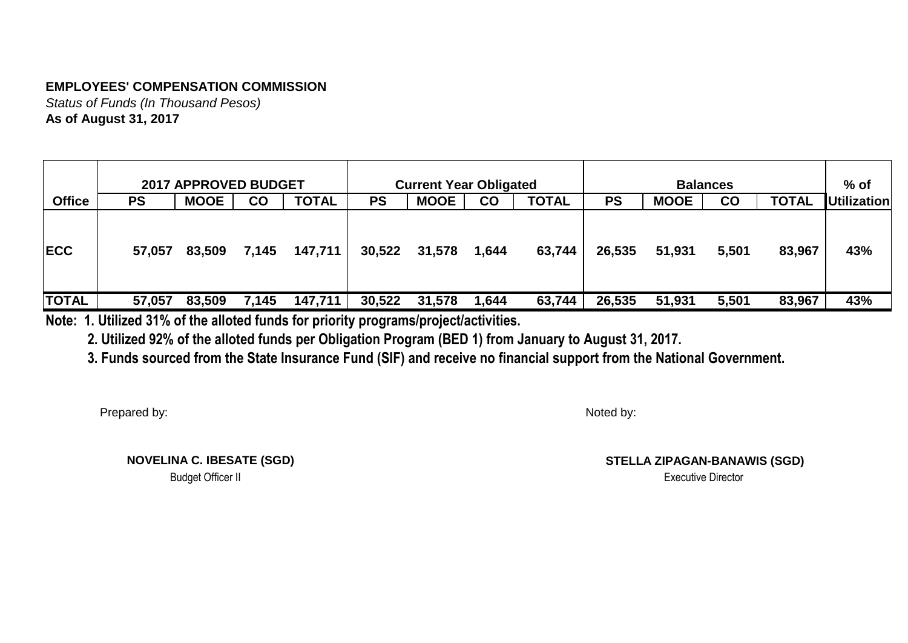*Status of Funds (In Thousand Pesos)* **As of August 31, 2017**

|               |        | <b>2017 APPROVED BUDGET</b> |               |              |           | <b>Current Year Obligated</b> |           |              |           |             | <b>Balances</b> |              | $%$ of             |
|---------------|--------|-----------------------------|---------------|--------------|-----------|-------------------------------|-----------|--------------|-----------|-------------|-----------------|--------------|--------------------|
| <b>Office</b> | PS     | <b>MOOE</b>                 | $\mathsf{co}$ | <b>TOTAL</b> | <b>PS</b> | <b>MOOE</b>                   | <b>CO</b> | <b>TOTAL</b> | <b>PS</b> | <b>MOOE</b> | $_{\rm CO}$     | <b>TOTAL</b> | <b>Utilization</b> |
| <b>IECC</b>   | 57,057 | 83,509                      | 7,145         | 147,711      | 30,522    | 31,578                        | 1,644     | 63,744       | 26,535    | 51,931      | 5,501           | 83,967       | 43%                |
| <b>TOTAL</b>  | 57,057 | 83,509                      | 7,145         | 147,711      | 30,522    | 31,578                        | 1,644     | 63,744       | 26,535    | 51,931      | 5,501           | 83,967       | 43%                |

**Note: 1. Utilized 31% of the alloted funds for priority programs/project/activities.**

 **2. Utilized 92% of the alloted funds per Obligation Program (BED 1) from January to August 31, 2017.**

 **3. Funds sourced from the State Insurance Fund (SIF) and receive no financial support from the National Government.**

Prepared by:

Noted by:

 **NOVELINA C. IBESATE (SGD)** Budget Officer II Although the Contractor of the Contractor of the Contractor of the Contractor of the Contractor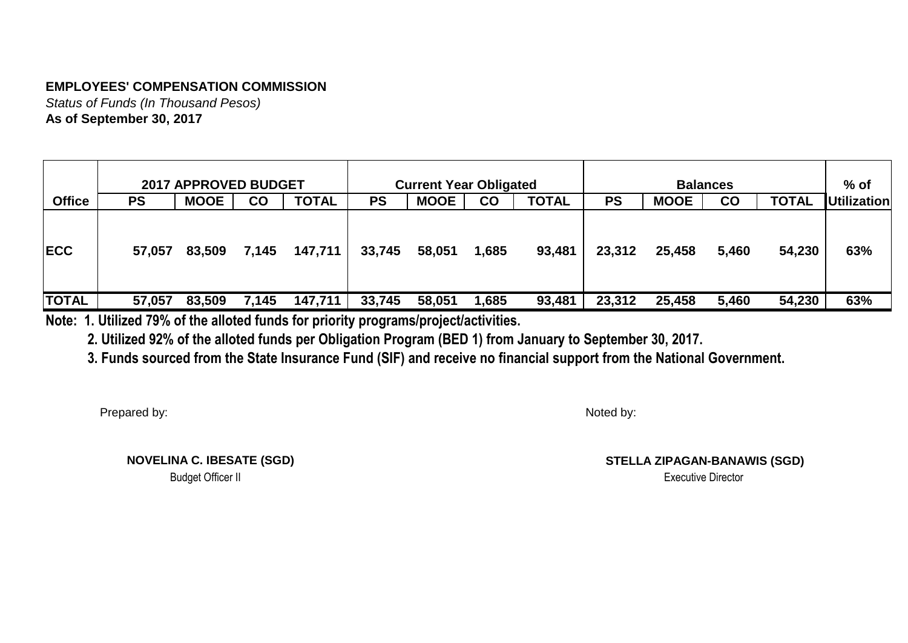*Status of Funds (In Thousand Pesos)* **As of September 30, 2017**

|               |        | <b>2017 APPROVED BUDGET</b> |               |              |           | <b>Current Year Obligated</b> |           |              |           |             | <b>Balances</b>        |              | $%$ of             |
|---------------|--------|-----------------------------|---------------|--------------|-----------|-------------------------------|-----------|--------------|-----------|-------------|------------------------|--------------|--------------------|
| <b>Office</b> | PS     | <b>MOOE</b>                 | $\mathsf{co}$ | <b>TOTAL</b> | <b>PS</b> | <b>MOOE</b>                   | <b>CO</b> | <b>TOTAL</b> | <b>PS</b> | <b>MOOE</b> | $\mathbf{C}\mathbf{O}$ | <b>TOTAL</b> | <b>Utilization</b> |
| <b>IECC</b>   | 57,057 | 83,509                      | 7,145         | 147,711      | 33,745    | 58,051                        | 1,685     | 93,481       | 23,312    | 25,458      | 5,460                  | 54,230       | 63%                |
| <b>TOTAL</b>  | 57,057 | 83,509                      | 7,145         | 147,711      | 33,745    | 58,051                        | .685      | 93,481       | 23,312    | 25,458      | 5,460                  | 54,230       | 63%                |

**Note: 1. Utilized 79% of the alloted funds for priority programs/project/activities.**

 **2. Utilized 92% of the alloted funds per Obligation Program (BED 1) from January to September 30, 2017.**

 **3. Funds sourced from the State Insurance Fund (SIF) and receive no financial support from the National Government.**

Prepared by:

Noted by:

 **NOVELINA C. IBESATE (SGD)** Budget Officer II Although the Contractor of the Contractor of the Contractor of the Contractor of the Contractor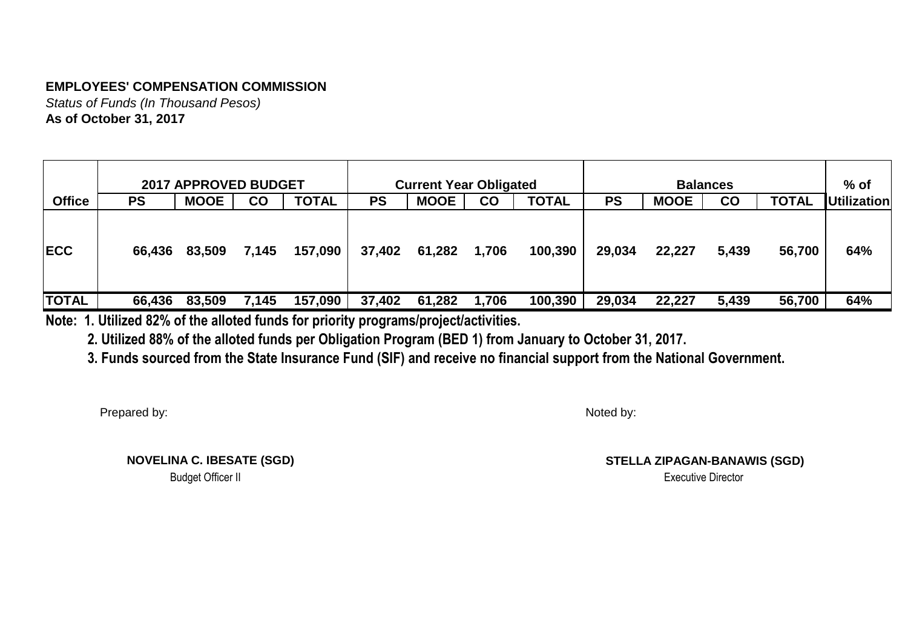*Status of Funds (In Thousand Pesos)* **As of October 31, 2017**

|               |        | <b>2017 APPROVED BUDGET</b> |               |              |           | <b>Current Year Obligated</b> |       |              |           |             | <b>Balances</b>        |              | $%$ of             |
|---------------|--------|-----------------------------|---------------|--------------|-----------|-------------------------------|-------|--------------|-----------|-------------|------------------------|--------------|--------------------|
| <b>Office</b> | PS     | <b>MOOE</b>                 | $\mathsf{co}$ | <b>TOTAL</b> | <b>PS</b> | <b>MOOE</b>                   | CO    | <b>TOTAL</b> | <b>PS</b> | <b>MOOE</b> | $\mathbf{C}\mathbf{O}$ | <b>TOTAL</b> | <b>Utilization</b> |
| <b>IECC</b>   | 66,436 | 83,509                      | 7,145         | 157,090      | 37,402    | 61,282                        | 1,706 | 100,390      | 29,034    | 22,227      | 5,439                  | 56,700       | 64%                |
| <b>TOTAL</b>  | 66,436 | 83,509                      | 7,145         | 157,090      | 37,402    | 61,282                        | 1,706 | 100,390      | 29,034    | 22,227      | 5,439                  | 56,700       | 64%                |

**Note: 1. Utilized 82% of the alloted funds for priority programs/project/activities.**

 **2. Utilized 88% of the alloted funds per Obligation Program (BED 1) from January to October 31, 2017.**

 **3. Funds sourced from the State Insurance Fund (SIF) and receive no financial support from the National Government.**

Prepared by:

Noted by:

 **NOVELINA C. IBESATE (SGD)** Budget Officer II Although the Contractor of the Contractor of the Contractor of the Contractor of the Contractor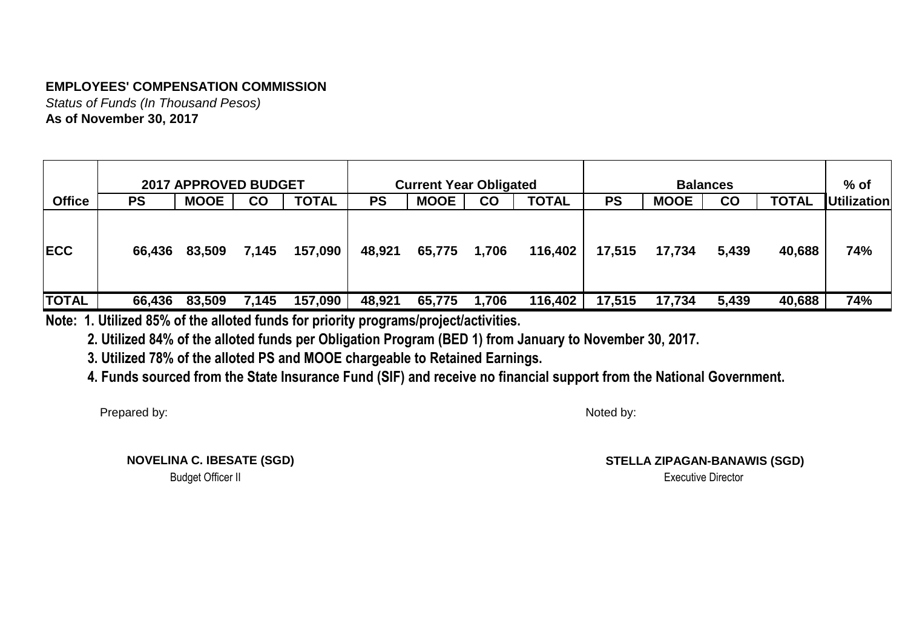*Status of Funds (In Thousand Pesos)* **As of November 30, 2017**

|               |        | <b>2017 APPROVED BUDGET</b> |               |              |           | <b>Current Year Obligated</b> |       |              |           |             | <b>Balances</b>        |              | $%$ of             |
|---------------|--------|-----------------------------|---------------|--------------|-----------|-------------------------------|-------|--------------|-----------|-------------|------------------------|--------------|--------------------|
| <b>Office</b> | PS     | <b>MOOE</b>                 | $\mathsf{co}$ | <b>TOTAL</b> | <b>PS</b> | <b>MOOE</b>                   | CO    | <b>TOTAL</b> | <b>PS</b> | <b>MOOE</b> | $\mathbf{C}\mathbf{O}$ | <b>TOTAL</b> | <b>Utilization</b> |
| <b>IECC</b>   | 66,436 | 83,509                      | 7,145         | 157,090      | 48,921    | 65,775                        | 1,706 | 116,402      | 17,515    | 17,734      | 5,439                  | 40,688       | 74%                |
| <b>TOTAL</b>  | 66,436 | 83,509                      | 7,145         | 157,090      | 48,921    | 65,775                        | 1,706 | 116,402      | 17,515    | 17,734      | 5,439                  | 40,688       | 74%                |

**Note: 1. Utilized 85% of the alloted funds for priority programs/project/activities.**

 **2. Utilized 84% of the alloted funds per Obligation Program (BED 1) from January to November 30, 2017.**

 **3. Utilized 78% of the alloted PS and MOOE chargeable to Retained Earnings.**

 **4. Funds sourced from the State Insurance Fund (SIF) and receive no financial support from the National Government.**

Prepared by:

Noted by:

 **NOVELINA C. IBESATE (SGD)** Budget Officer II Although the Contractor of the Contractor of the Contractor of the Contractor of the Contractor